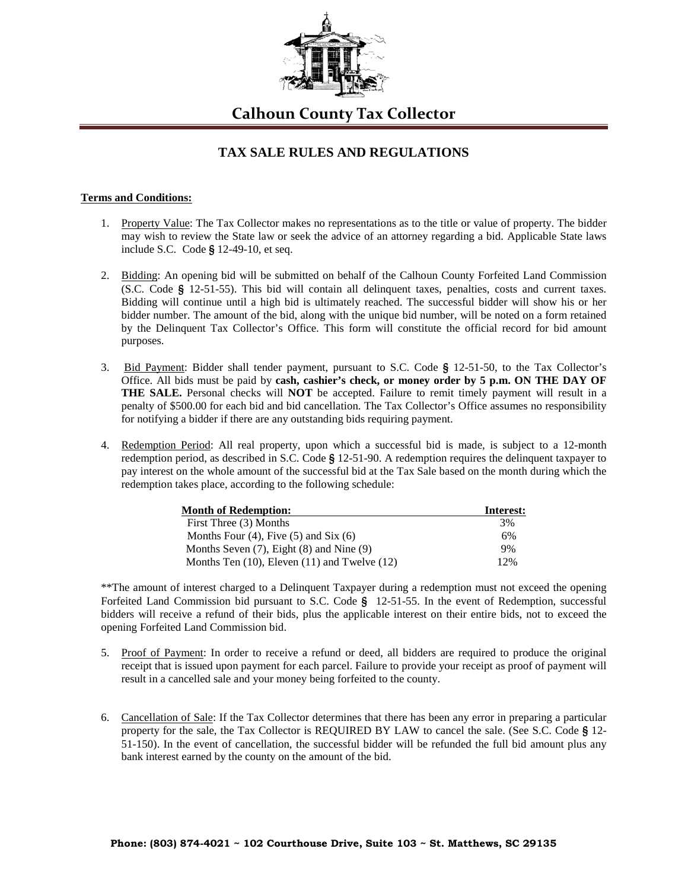

**Calhoun County Tax Collector**

## **TAX SALE RULES AND REGULATIONS**

## **Terms and Conditions:**

- 1. Property Value: The Tax Collector makes no representations as to the title or value of property. The bidder may wish to review the State law or seek the advice of an attorney regarding a bid. Applicable State laws include S.C. Code **§** 12-49-10, et seq.
- 2. Bidding: An opening bid will be submitted on behalf of the Calhoun County Forfeited Land Commission (S.C. Code **§** 12-51-55). This bid will contain all delinquent taxes, penalties, costs and current taxes. Bidding will continue until a high bid is ultimately reached. The successful bidder will show his or her bidder number. The amount of the bid, along with the unique bid number, will be noted on a form retained by the Delinquent Tax Collector's Office. This form will constitute the official record for bid amount purposes.
- 3. Bid Payment: Bidder shall tender payment, pursuant to S.C. Code **§** 12-51-50, to the Tax Collector's Office. All bids must be paid by **cash, cashier's check, or money order by 5 p.m. ON THE DAY OF THE SALE.** Personal checks will **NOT** be accepted. Failure to remit timely payment will result in a penalty of \$500.00 for each bid and bid cancellation. The Tax Collector's Office assumes no responsibility for notifying a bidder if there are any outstanding bids requiring payment.
- 4. Redemption Period: All real property, upon which a successful bid is made, is subject to a 12-month redemption period, as described in S.C. Code **§** 12-51-90. A redemption requires the delinquent taxpayer to pay interest on the whole amount of the successful bid at the Tax Sale based on the month during which the redemption takes place, according to the following schedule:

| <b>Month of Redemption:</b>                         | Interest: |
|-----------------------------------------------------|-----------|
| First Three (3) Months                              | 3%        |
| Months Four $(4)$ , Five $(5)$ and Six $(6)$        | 6%        |
| Months Seven $(7)$ , Eight $(8)$ and Nine $(9)$     | 9%        |
| Months Ten $(10)$ , Eleven $(11)$ and Twelve $(12)$ | 12%       |

\*\*The amount of interest charged to a Delinquent Taxpayer during a redemption must not exceed the opening Forfeited Land Commission bid pursuant to S.C. Code **§** 12-51-55. In the event of Redemption, successful bidders will receive a refund of their bids, plus the applicable interest on their entire bids, not to exceed the opening Forfeited Land Commission bid.

- 5. Proof of Payment: In order to receive a refund or deed, all bidders are required to produce the original receipt that is issued upon payment for each parcel. Failure to provide your receipt as proof of payment will result in a cancelled sale and your money being forfeited to the county.
- 6. Cancellation of Sale: If the Tax Collector determines that there has been any error in preparing a particular property for the sale, the Tax Collector is REQUIRED BY LAW to cancel the sale. (See S.C. Code **§** 12- 51-150). In the event of cancellation, the successful bidder will be refunded the full bid amount plus any bank interest earned by the county on the amount of the bid.